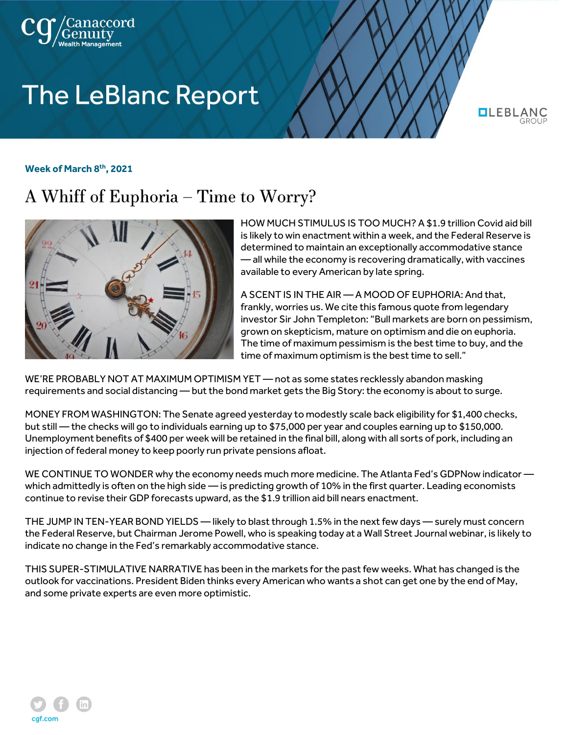

## **The LeBlanc Report**

**QLEBLAN** 

## **Week of March 8th, 2021**

## A Whiff of Euphoria – Time to Worry?



HOW MUCH STIMULUS IS TOO MUCH? A \$1.9 trillion Covid aid bill is likely to win enactment within a week, and the Federal Reserve is determined to maintain an exceptionally accommodative stance — all while the economy is recovering dramatically, with vaccines available to every American by late spring.

A SCENT IS IN THE AIR — A MOOD OF EUPHORIA: And that, frankly, worries us. We cite this famous quote from legendary investor Sir John Templeton: "Bull markets are born on pessimism, grown on skepticism, mature on optimism and die on euphoria. The time of maximum pessimism is the best time to buy, and the time of maximum optimism is the best time to sell."

WE'RE PROBABLY NOT AT MAXIMUM OPTIMISM YET — not as some states recklessly abandon masking requirements and social distancing — but the bond market gets the Big Story: the economy is about to surge.

MONEY FROM WASHINGTON: The Senate agreed yesterday to modestly scale back eligibility for \$1,400 checks, but still — the checks will go to individuals earning up to \$75,000 per year and couples earning up to \$150,000. Unemployment benefits of \$400 per week will be retained in the final bill, along with all sorts of pork, including an injection of federal money to keep poorly run private pensions afloat.

WE CONTINUE TO WONDER why the economy needs much more medicine. The Atlanta Fed's GDPNow indicator which admittedly is often on the high side — is predicting growth of 10% in the first quarter. Leading economists continue to revise their GDP forecasts upward, as the \$1.9 trillion aid bill nears enactment.

THE JUMP IN TEN-YEAR BOND YIELDS — likely to blast through 1.5% in the next few days — surely must concern the Federal Reserve, but Chairman Jerome Powell, who is speaking today at a Wall Street Journal webinar, is likely to indicate no change in the Fed's remarkably accommodative stance.

THIS SUPER-STIMULATIVE NARRATIVE has been in the markets for the past few weeks. What has changed is the outlook for vaccinations. President Biden thinks every American who wants a shot can get one by the end of May, and some private experts are even more optimistic.